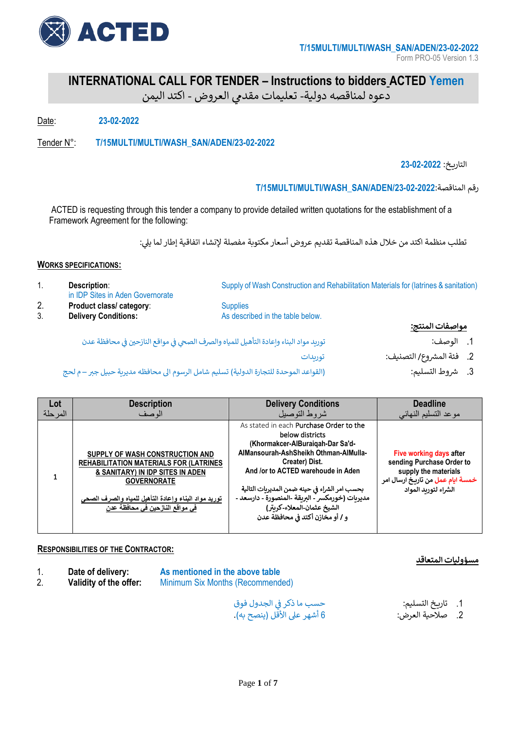

**INTERNATIONAL CALL FOR TENDER – Instructions to bidders ACTED Yemen**

# دعوه لمناقصه دولية- تعليمات مقدمي العروض - اكتد اليمن

Date: **23-02-2022**

Tender N°: **T/15MULTI/MULTI/WASH\_SAN/ADEN/23-02-2022**

التاري خ: **23-02-2022**

### **T/15MULTI/MULTI/WASH\_SAN/ADEN/23-02-2022**:المناقصة رقم

ACTED is requesting through this tender a company to provide detailed written quotations for the establishment of a Framework Agreement for the following:

تطلب منظمة اكتد من خلال هذه المناقصة تقديم عروض أسعار مكتوبة مفصلة لإنشاء اتفاقية إطار لما يلي:

### **WORKS SPECIFICATIONS:**

|    | <b>Description:</b><br>in IDP Sites in Aden Governorate                                | Supply of Wash Construction and Rehabilitation Materials for (latrines & sanitation) |                          |
|----|----------------------------------------------------------------------------------------|--------------------------------------------------------------------------------------|--------------------------|
| 2. | Product class/category:                                                                | <b>Supplies</b>                                                                      |                          |
| 3. | <b>Delivery Conditions:</b>                                                            | As described in the table below.                                                     |                          |
|    |                                                                                        |                                                                                      | مواصفات المنتج:          |
|    | توربد مواد البناء واعادة التأهيل للمياه والصرف الصحي في مواقع النازحين في محافظة عدن   |                                                                                      | الوصف:                   |
|    |                                                                                        | تورىدات                                                                              | 2. فئة المشروع/ التصنيف: |
|    | (القواعد الموحدة للتجارة الدولية) تسليم شامل الرسوم الى محافظه مديرية حبيل جبر — م لحج |                                                                                      | شروط التسليم:            |

(القواعد الموحدة للتجارة الدولية) تسليم شامل الرسوم الى محافظه مديرية حبيل جبر – م لحج

| Lot      | <b>Description</b>                                                                                                                                                                                                                             | <b>Delivery Conditions</b>                                                                                                                                                                                                                                                                                                                                            | <b>Deadline</b>                                                                                                                          |
|----------|------------------------------------------------------------------------------------------------------------------------------------------------------------------------------------------------------------------------------------------------|-----------------------------------------------------------------------------------------------------------------------------------------------------------------------------------------------------------------------------------------------------------------------------------------------------------------------------------------------------------------------|------------------------------------------------------------------------------------------------------------------------------------------|
| المر حلة | الوصف                                                                                                                                                                                                                                          | شر وط التوصيل                                                                                                                                                                                                                                                                                                                                                         | موعد التسليم النهائي                                                                                                                     |
|          | SUPPLY OF WASH CONSTRUCTION AND<br><b>REHABILITATION MATERIALS FOR (LATRINES)</b><br>& SANITARY) IN IDP SITES IN ADEN<br><b>GOVERNORATE</b><br>توريد مواد البناع وإعادة التأهيل للمياه والصرف الصحى<br><u>في مواقع النازحين في محافظ</u> ة عدن | As stated in each Purchase Order to the<br>below districts<br>(Khormakcer-AlBuraigah-Dar Sa'd-<br>AlMansourah-AshSheikh Othman-AlMulla-<br>Creater) Dist.<br>And /or to ACTED warehoude in Aden<br>بحسب امر الشراء في حينه ضمن المديربات التالية<br>مديريات (خورمكسر - البريقة -المنصورة - دارسعد -<br>الشيخ عثمان-المعلاء-كربتر)<br>و / أو مخّازن أكتد في محافظة عدن | Five working days after<br>sending Purchase Order to<br>supply the materials<br>خمسة ايام عمل من تاريخ ارسال امر<br>الشراء لتوربد المواد |

### **RESPONSIBILITIES OF THE CONTRACTOR:**

| Date of delivery:      | As mentioned in the above table  | <u>مسؤوليات المتعاقد</u> |
|------------------------|----------------------------------|--------------------------|
| Validity of the offer: | Minimum Six Months (Recommended) |                          |
|                        | حسب بملذك فالحلول فيقب           | التقارب كالتسابيط        |

ي .1 تاري خ التسليم: الجدول فوق حسب ما ذكرف 2. صلاحية العرض: 6 أشهر على الأقل (ينصح به).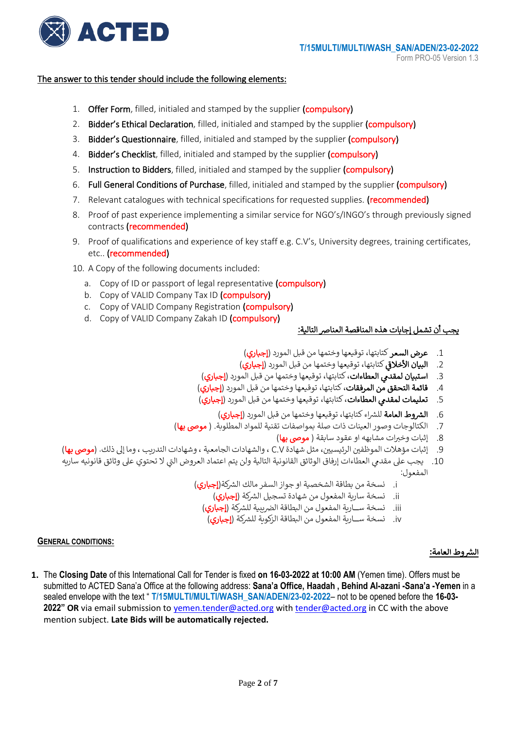

### The answer to this tender should include the following elements:

- 1. Offer Form, filled, initialed and stamped by the supplier (compulsory)
- 2. Bidder's Ethical Declaration, filled, initialed and stamped by the supplier (compulsory)
- 3. Bidder's Questionnaire, filled, initialed and stamped by the supplier (compulsory)
- 4. Bidder's Checklist, filled, initialed and stamped by the supplier (compulsory)
- 5. Instruction to Bidders, filled, initialed and stamped by the supplier (compulsory)
- 6. Full General Conditions of Purchase, filled, initialed and stamped by the supplier (compulsory)
- 7. Relevant catalogues with technical specifications for requested supplies. (recommended)
- 8. Proof of past experience implementing a similar service for NGO's/INGO's through previously signed contracts (recommended)
- 9. Proof of qualifications and experience of key staff e.g. C.V's, University degrees, training certificates, etc.. (recommended)
- 10. A Copy of the following documents included:
	- a. Copy of ID or passport of legal representative (compulsory)
	- b. Copy of VALID Company Tax ID (compulsory)
	- c. Copy of VALID Company Registration (compulsory)
	- d. Copy of VALID Company Zakah ID (compulsory)

### يجب أن تشمل إجابات هذه المناقصة العنارص التالية :

- 1. **عرض السعر** كتابتها، توقيعها وختمها من قبل المورد (**إجباري**)
- 2. ا**لبيان الأخلاقي** كتابتها، توقيعها وختمها من قبل المورد (**إجباري**) i
- 3. ا**ستبيان لمقدمي العطاءات**، كتابتها، توقيعها وختمها من قبل المورد (**إجباري**)<br>-
- 4. **قائمة التحقق من المرفقات**، كتابتها، توقيعها وختمها من قبل المورد (**إجباري**)
- 5. **تعليمات لمقدمي العطاءات،** كتابتها، توقيعها وختمها من قبل المورد (**إجباري**)
	- 6. الشروط العامة للشراء كتابتها، توقيعها وختمها من قبل المورد (إجباري)
- 7. الكتالوجات وصور العينات ذات صلة بمواصفات تقنية للمواد المطلوبة. ( **موصى بها**)
	- 8. إثبات وخبرات مشابهه او عقود سابقة ( **موصى بها)**
- .9 . إثبات مؤهلات الموظفين الرئيسيين، مثل شهادة C.V ، والشهادات الجامعية ، وشهادات التدريب ، وما إلى ذلك. (**موصى بها**) .
- 10. يجب على مقدمي العطاءات إرفاق الوثائق القانونية التالية ولن يتم اعتماد العروض التي لا تحتوي على وثائق قانونيه ساريه ي المفعول:
	- i. نسخة من بطاقة الشخصية او جواز السفر مالك الشركة(**إجباري)** 
		- ii. نسخة سارية المفعول من شهادة تسجيل الشركة (**إجباري)**
		- iii. نسخة ســـارية المفعول من البطاقة الضريبية للشركَة (**إجباري**)
		- iv. نسخة ســارية المفعول من البطاقة الزكوية للشركة (**إجباري)**

### **GENERAL CONDITIONS:**

### <mark>الشروط العامة:</mark>

**1.** The **Closing Date** of this International Call for Tender is fixed **on 16-03-2022 at 10:00 AM** (Yemen time). Offers must be submitted to ACTED Sana'a Office at the following address: **Sana'a Office, Haadah , Behind Al-azani -Sana'a -Yemen** in a sealed envelope with the text " **T/15MULTI/MULTI/WASH\_SAN/ADEN/23-02-2022**– not to be opened before the **16-03- 2022" OR** via email submission to [yemen.tender@acted.org](mailto:yemen.tender@acted.org) wit[h tender@acted.org](mailto:tender@acted.org) in CC with the above mention subject. **Late Bids will be automatically rejected.**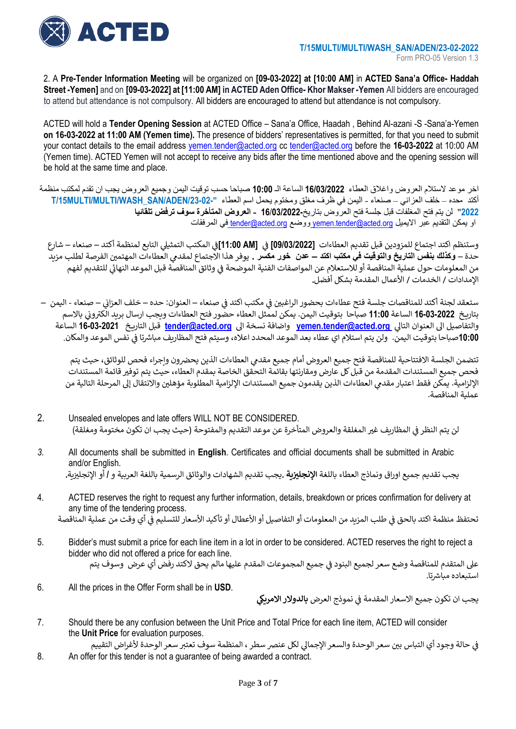

2. A **Pre-Tender Information Meeting** will be organized on **[09-03-2022] at [10:00 AM]** in **ACTED Sana'a Office- Haddah Street -Yemen]** and on **[09-03-2022] at [11:00 AM] in ACTED Aden Office- KhorMakser -Yemen** All bidders are encouraged to attend but attendance is not compulsory. All bidders are encouraged to attend but attendance is not compulsory.

ACTED will hold a **Tender Opening Session** at ACTED Office – Sana'a Office, Haadah , Behind Al-azani -S -Sana'a-Yemen **on 16-03-2022 at 11:00 AM (Yemen time).** The presence of bidders' representatives is permitted, for that you need to submit your contact details to the email address [yemen.tender@acted.org](mailto:yemen.tender@acted.org) cc [tender@acted.org](mailto:tender@acted.org) before the **16-03-2022** at 10:00 AM (Yemen time). ACTED Yemen will not accept to receive any bids after the time mentioned above and the opening session will be hold at the same time and place.

اخر موعد الستالم العروض واغالق العطاء **16/03/2022** الساعة الـ **10:00** صباحا حسب توقيت اليمن وجميع العروض يجب ان تقدم لمكتب منظمة أكتد **-**حده – خلف العزاني – صنعاء - اليمن في ظرف مغلق ومختوم يحمل اسم العطاء **"/23-02-ADEN/SAN\_WASH/MULTI/MULTI/15T 2022**" لن يتم فتح المغلفات قبل جلسة فتح العروض بتاريخ**16**/**03/2022- - العروض المتأخرة سوف ترفض تلقائيا**  او يمكن التقديم عبر االيميل [org.acted@tender.yemen](mailto:yemen.tender@acted.org) ووضع [org.acted@tender](mailto:tender@acted.org) في المرفقات

وستنظم اكتد اجتماع للمزودين قبل تقديم العطاءات **[09/03/2022] في [11:00 AM]في** المكتب التمثيلي التابع لمنظمة أكتد – صنعاء – شارع<br>منذ ֦֧֦֧֦֧֦֧֦֧֦֧֦֧֦֧֦֧֦֧֦֜֜֜֜֜֜֜֜֜֜֞ ي l حدة – **وكذلك بنفس التاريخ والتوقيت في مكتب اكتد – عدن خور مكسر <sub>.</sub> يوفر هذا الاجتماع لمقدمي العطاءات المهتمين الفرصة لطلب مزيد** .<br>من المعلومات حول عملية المناقصة أو للاستعلام عن المواصفات الفنية الموضحة في وثائق المناقصة قبل الموعد النهائي للتقديم لفهم ي : اإلمدادات / الخدمات / األعمال المقدمة بشكل أفضل**.**

ي į ستعقد لجنة أكتد للمناقصات جلسة فتح عطاءات بحضور الراغب ي <sup>ي</sup> صنعاء ف ي مكتب اكتد ف – العنوان: حده – خلف العزائ – صنعاء - اليمن – ֧֦֧֦֧֦֧֦֧֦֧֦֧֦֧֧֦֧֦֧ׅׅ֧֚֬֜֜֓֜֜֜֜֓֡֬֜֓֡֬֓ ֚֚֚֚֚֚֚֚֚֡ رسمون بيس بيسمبر بيسمبر بيسمبر بيسمبر بيسمبر.<br>بتاريخ **16-03-2022** الساعة **11:00** صباحا بتوقيت اليمن. يمكن لممثل العطاء حضور فتح العطاءات ويجب ارسال بريد الكتروني بالاسم ي والتفاصيل الى العنوان التالي <u>vemen.tender@acted.org</u> واضافة نسخة الى <u>tender@acted.org</u> قبل التاريخ 16-03-2021 الساعة<br>مع 10:00صباحاً بتوقيت اليمن. ولن يتم استلام اي عطاء بعد الموعد المحدد اعلاه، وسيتم فتح المظاريف مباشرتا في نفس الموعد والمكان.<br>10:00صباحاً بتوقيت اليمن. :

تتضمن الجلسة الافتتاحية للمناقصة فتح جميع العروض أمام جميع مقدمي العطاءات الذين يحضرون وإجراء فحص للوثائق، حيث يتم فحص جميع المستندات المقدمة من قبل كل عارض ومقارنتها بقائمة التحقق الخاصة بمقدم العطاء، حيث يتم توفير قائمة المستندات الإلزامية. يمكن فقط اعتبار مقدمي العطاءات الذين يقدمون جميع المستندات الإلزامية المطلوبة مؤهلين والانتقال إلى المرحلة التالية من<br>. عملية المناقصة.

- 2. Unsealed envelopes and late offers WILL NOT BE CONSIDERED. لن يتم النظر في المظاريف غير المغلقة والعروض المتأخرة عن موعد التقديم والمفتوحة (حيث يجب ان تكون مختومة ومغلقة) ي :
- *3.* All documents shall be submitted in **English**. Certificates and official documents shall be submitted in Arabic and/or English. يجب تقديم جميع اوراق ونماذج العطاء باللغة ا**لإنجليزية .**يجب تقديم الشهادات والوثائق الرسمية باللغة العربية و **/** أو الإنجليزية. ֦֧֧֧֦֧֢֧֦֧֦֧֝֜֜֜֜֜֜֜
- 4. ACTED reserves the right to request any further information, details, breakdown or prices confirmation for delivery at any time of the tendering process. تحتفظ منظمة اكتد بالحق في طلب المزيد من المعلومات أو التفاصيل أو الأعطال أو تأكيد الأسعار للتسليم في أي وقت من عملية المناقصة ي : :
- 5. Bidder's must submit a price for each line item in a lot in order to be considered. ACTED reserves the right to reject a bidder who did not offered a price for each line. على المتقدم للمناقصة وضع سعر لجميع البنود في جميع المجموعات المقدم عليها مالم يحق لاكتد رفض أي عرض وسوف يتم  $\cdot$ استبعاده مباشرتا.
- 6. All the prices in the Offer Form shall be in **USD**.

يجب ان تكون جميع الاسعار المقدمة في نموذج العرض **بالدولار الامريكي** ي

7. Should there be any confusion between the Unit Price and Total Price for each line item, ACTED will consider the **Unit Price** for evaluation purposes.

في حالة وجود أي التباس بين سعر الوحدة والسعر الإجمالي لكل عنصر سطر ، المنظمة سوف تعتبر سعر الوحدة لأغراض التقييم ż 8. An offer for this tender is not a guarantee of being awarded a contract.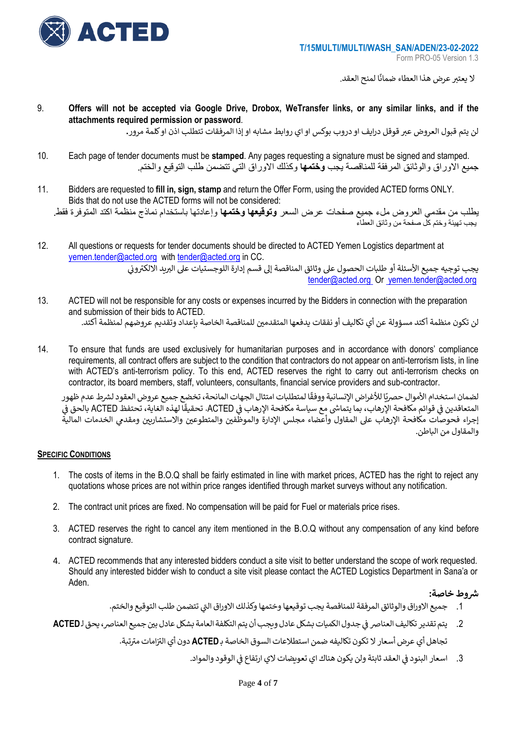

لا يعتبر عرض هذا العطاء ضمانًا لمنح العقد.

9. **Offers will not be accepted via Google Drive, Drobox, WeTransfer links, or any similar links, and if the attachments required permission or password**.

لن يتم قبول العروض عبر قوقل درايف او دروب بوكس او اي روابط مشابه او إذا المرفقات تتطلب اذن او كلمة مرور **.** 

- 10. Each page of tender documents must be **stamped**. Any pages requesting a signature must be signed and stamped. جميع االوراق والوثائق المرفقة للمناقصة يجب **وختمها** وكذلك االوراق التي تتضمن طلب التوقيع والختم.
- 11. Bidders are requested to **fill in, sign, stamp** and return the Offer Form, using the provided ACTED forms ONLY. Bids that do not use the ACTED forms will not be considered: يطلب من مقدمي العروض ملء جميع صفحات عرض السعر **وتوقيعها وختمها** وإعادتها باستخدام نماذج منظمة اكتد المتوفرة فقط. يجب تهيئة وختم كل صفحة من وثائق العطاء
- 12. All questions or requests for tender documents should be directed to ACTED Yemen Logistics department at [yemen.tender@acted.org](mailto:yemen.tender@acted.org) wit[h tender@acted.org](mailto:tender@acted.org) in CC. يجب توجيه جميع الأسئلة أو طلبات الحصول على وثائق المناقصة إلى قسم إدارة اللوجستيات على البريد الالكتروني ي [tender@acted.org](mailto:tender@acted.org) Or [yemen.tender@acted.org](mailto:yemen.tender@acted.org)
- 13. ACTED will not be responsible for any costs or expenses incurred by the Bidders in connection with the preparation and submission of their bids to ACTED. لن تكون منظمة أكتد مسؤولة عن أي تكاليف أو نفقات يدفعها المتقدمين للمناقصة الخاصة بإعداد وتقديم عروضهم لمنظمة أكتد.
- 14. To ensure that funds are used exclusively for humanitarian purposes and in accordance with donors' compliance requirements, all contract offers are subject to the condition that contractors do not appear on anti-terrorism lists, in line with ACTED's anti-terrorism policy. To this end, ACTED reserves the right to carry out anti-terrorism checks on contractor, its board members, staff, volunteers, consultants, financial service providers and sub-contractor.

ً.<br>لضمان استخدام الأموال حصريًا للأغراض الإنسانية ووفقًا لمتطلبات امتثال الجهات المانحة، تخضع جميع عروض العقود لشرط عدم ظهور سبته المتعاقد الرسون السري در من مع سياسة ورقعة ستعتبت المتدن عليها المتحد . فاعظم بسبع عرز من اعطوه سارت عدام<br>المتعاقدين في قوائم مكافحة الإرهاب، بما يتماشى مع سياسة مكافحة الإرهاب في ACTED. تحقيقًا لهذه الغاية، تحتفظ AC ي : ي ֦֧֦֧֦֧֦֧֦֧֦֧֦֧֦֧֦֧֦֧֧֦֧֦֧֚֚֚֬֜֜֓ ي ֧֧֚֚֚֚֚֚֚֚֚֚֚֚֚֚֚֚֚֚֚֚֚֚֡֝֝֝֝֡֡֡֬֝֓֡֬֝֓֝֓֝ إجراء فحوصات مكافحة الإرهاب على المقاول وأعضاء مجلس الإدارة والموظّفين والمتطوعين والاستشاريين ومقدمي الخدمات المالية . . والمقاول من الباطن.

### **SPECIFIC CONDITIONS**

- 1. The costs of items in the B.O.Q shall be fairly estimated in line with market prices, ACTED has the right to reject any quotations whose prices are not within price ranges identified through market surveys without any notification.
- 2. The contract unit prices are fixed. No compensation will be paid for Fuel or materials price rises.
- 3. ACTED reserves the right to cancel any item mentioned in the B.O.Q without any compensation of any kind before contract signature.
- 4. ACTED recommends that any interested bidders conduct a site visit to better understand the scope of work requested. Should any interested bidder wish to conduct a site visit please contact the ACTED Logistics Department in Sana'a or Aden.

## **رشوط خاصة:**

- 1. جميع الاوراق والوثائق المرفقة للمناقصة يجب توقيعها وختمها وكذلك الاوراق التي تتضمن طلب التوقيع والختم.
- 2. يتم تقدير تكاليف العناصر في جدول الكميات بشكل عادل ويجب أن يتم التكلفة العامة بشكل عادل بين جميع العناصر، يحق لـ**ACTED** : .<br>تجاهل أي عرض أسعار لا تكون تكاليفه ضمن استطلاعات السوق الخاصة بـ **ACTED** دون أي التزامات مترتبة.
	- 3. اسعار البنود في العقد ثابتة ولن يكون هناك اي تعويضات لاي ارتفاع في الوقود والمواد. į ي l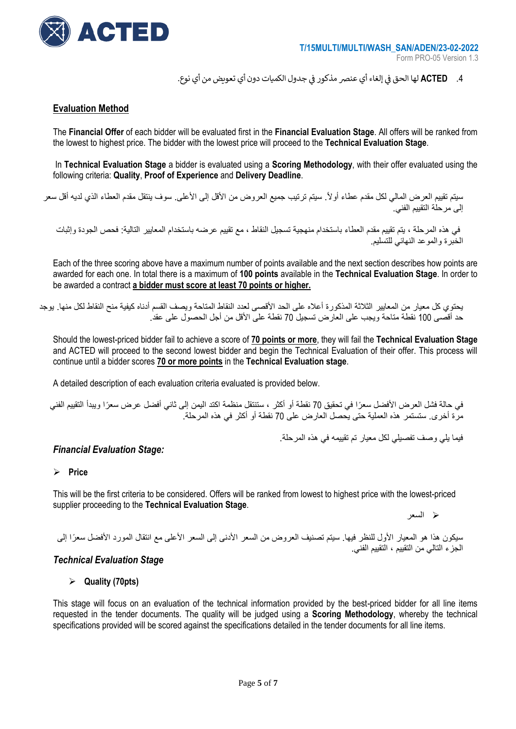

4. **ACTED ل**ها الحق في إلغاء أي عنصر مذكور في جدول الكميات دون أي تعويض من أي نوع.  $\cdot$ ي ֧֦֧֦֧֦֧֦֧֦֧֦֧֦֧֧֦֧֦֧ׅׅ֧֚֬֜֜֓֜֜֜֜֓֡֬֜֓֡֬֓

### **Evaluation Method**

The **Financial Offer** of each bidder will be evaluated first in the **Financial Evaluation Stage**. All offers will be ranked from the lowest to highest price. The bidder with the lowest price will proceed to the **Technical Evaluation Stage**.

In **Technical Evaluation Stage** a bidder is evaluated using a **Scoring Methodology**, with their offer evaluated using the following criteria: **Quality**, **Proof of Experience** and **Delivery Deadline**.

سيتم تقييم العرض المالي لكل مقدم عطاء أولاً. سيتم ترتيب جميع العروض من الأقل إلى الأعلى. سوف ينتقل مقدم العطاء الذي لديه أقل سعر إلى مرحلة التقييم الفني.

في هذه المرحلة ، يتم تقييم مقدم العطاء باستخدام منهجية تسجيل النقاط ، مع تقييم عرضه باستخدام المعايير التالية: فحص الجودة وإثبات الخبرة والموعد النهائي للتسليم.

Each of the three scoring above have a maximum number of points available and the next section describes how points are awarded for each one. In total there is a maximum of **100 points** available in the **Technical Evaluation Stage**. In order to be awarded a contract **a bidder must score at least 70 points or higher.**

يحتوي كل معيار من المعايير الثلاثة المذكورة أعلاه على الحد الأقصى لعدد النقاط المتاحة ويصف القسم أدناه كيفية منح النقاط لكل منها. يوجد حد أقصىي 100 نقطة متاحة ويجب على العارض تسجيل 70 نقطة على الأقل من أجل الحصول على عقد.

Should the lowest-priced bidder fail to achieve a score of **70 points or more**, they will fail the **Technical Evaluation Stage** and ACTED will proceed to the second lowest bidder and begin the Technical Evaluation of their offer. This process will continue until a bidder scores **70 or more points** in the **Technical Evaluation stage**.

A detailed description of each evaluation criteria evaluated is provided below.

في حالة فشل العرض الأفضل سعرًا في تحقيق 70 نقطة أو أكثر ، ستنتقل منظمة اكتد اليمن إلى ثاني أفضل عرض سعرًا ويبدأ التقييم الفني مرة أخرى. ستستمر هذه العملية حتى يحصل العارض على 70 نقطة أو أكثر في هذه المرحلة.

فيما يلي وصف تفصيلي لكل معيار تم تقييمه في هذه المرحلة.

### *Financial Evaluation Stage:*

### ➢ **Price**

This will be the first criteria to be considered. Offers will be ranked from lowest to highest price with the lowest-priced supplier proceeding to the **Technical Evaluation Stage**.

➢ السعر

سيكون هذا هو المعيار الأول للنظر فيها. سيتم تصنيف العروض من السعر الأدنى إلى السعر الأعلى مع انتقال المورد الأفضل سعرًا إلى الجزء التالي من التقييم ، التقييم الفني.

### *Technical Evaluation Stage*

### ➢ **Quality (70pts)**

This stage will focus on an evaluation of the technical information provided by the best-priced bidder for all line items requested in the tender documents. The quality will be judged using a **Scoring Methodology**, whereby the technical specifications provided will be scored against the specifications detailed in the tender documents for all line items.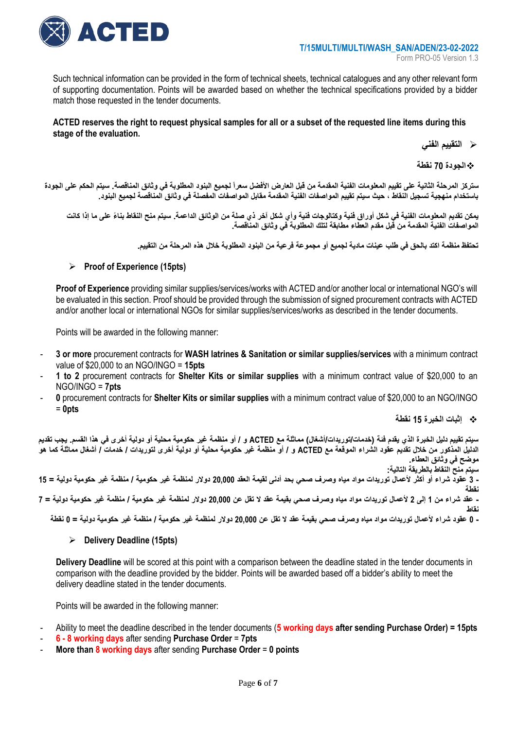

Such technical information can be provided in the form of technical sheets, technical catalogues and any other relevant form of supporting documentation. Points will be awarded based on whether the technical specifications provided by a bidder match those requested in the tender documents.

### **ACTED reserves the right to request physical samples for all or a subset of the requested line items during this stage of the evaluation.**

➢ **التقييم الفني**

❖**الجودة 70 نقطة** 

ستركز المرحلة الثانية على تقييم المعلومات الفنية المقدمة من قبل العارض الأفضل سعراً لجميع البنود المطلوبة في وثانق المناقصة. سيتم الحكم على الجودة **باستخدام منهجية تسجيل النقاط ، حيث سيتم تقييم المواصفات الفنية المقدمة مقابل المواصفات المفصلة في وثائق المناقصة لجميع البنود .** 

يمكن نقديم المعلومات الفنية في شكل أوراق فنية وكتالوجات فنية وأي شكل آخر ذي صلة من الوثائق الداعمة. سيتم منح النقاط بناءً على ما إذا كانت **المواصفات الفنية المقدمة من قبل مقدم العطاء مطابقة لتلك المطلوبة في وثائق المناقصة.** 

**تحتفظ منظمة اكتد بالحق في طلب عينات مادية لجميع أو مجموعة فرعية من البنود المطلوبة خالل هذه المرحلة من التقييم.** 

### ➢ **Proof of Experience (15pts)**

**Proof of Experience** providing similar supplies/services/works with ACTED and/or another local or international NGO's will be evaluated in this section. Proof should be provided through the submission of signed procurement contracts with ACTED and/or another local or international NGOs for similar supplies/services/works as described in the tender documents.

Points will be awarded in the following manner:

- **3 or more** procurement contracts for **WASH latrines & Sanitation or similar supplies/services** with a minimum contract value of \$20,000 to an NGO/INGO = **15pts**
- **1 to 2** procurement contracts for **Shelter Kits or similar supplies** with a minimum contract value of \$20,000 to an NGO/INGO = **7pts**
- **0** procurement contracts for **Shelter Kits or similar supplies** with a minimum contract value of \$20,000 to an NGO/INGO = **0pts**

❖ **إثبات الخبرة 15 نقطة** 

سيتم تقييم دليل الخبرة الذي يقدم فئة (خدمات/توريدات/أشغال) مماثلة مع ACTED و / أو منظمة غير حكومية محلية أو دولية أخرى في هذا القسم. يجب تقديم **الدليل المذكور من خالل تقديم عقود الشراء الموقعة مع ACTED و / أو منظمة غير حكومية محلية أو دولية أخرى لتوريدات / خدمات / أشغال مماثلة كما هو موضح في وثائق العطاء. سيتم منح النقاط بالطريقة التالية: - 3 عقود شراء أو أكثر ألعمال توريدات مواد مياه وصرف صحي بحد أدنى لقيمة العقد 20,000 دوالر لمنظمة غير حكومية / منظمة غير حكومية دولية = 15 نقطة - عقد شراء من 1 إلى 2 ألعمال توريدات مواد مياه وصرف صحي بقيمة عقد ال تقل عن 20,000 دوالر لمنظمة غير حكو مية / منظمة غير حكومية دولية = 7 نقاط - 0 عقود شراء ألعمال توريدات مواد مياه وصرف صحي بقيمة عقد ال تقل عن 20,000 دوالر لمنظمة غير حكومية / منظمة غير حكومية دولية = 0 نقطة** 

### ➢ **Delivery Deadline (15pts)**

**Delivery Deadline** will be scored at this point with a comparison between the deadline stated in the tender documents in comparison with the deadline provided by the bidder. Points will be awarded based off a bidder's ability to meet the delivery deadline stated in the tender documents.

Points will be awarded in the following manner:

- Ability to meet the deadline described in the tender documents (**5 working days after sending Purchase Order) = 15pts**
- **6 - 8 working days** after sending **Purchase Order** = **7pts**
- **More than 8 working days** after sending **Purchase Order** = **0 points**